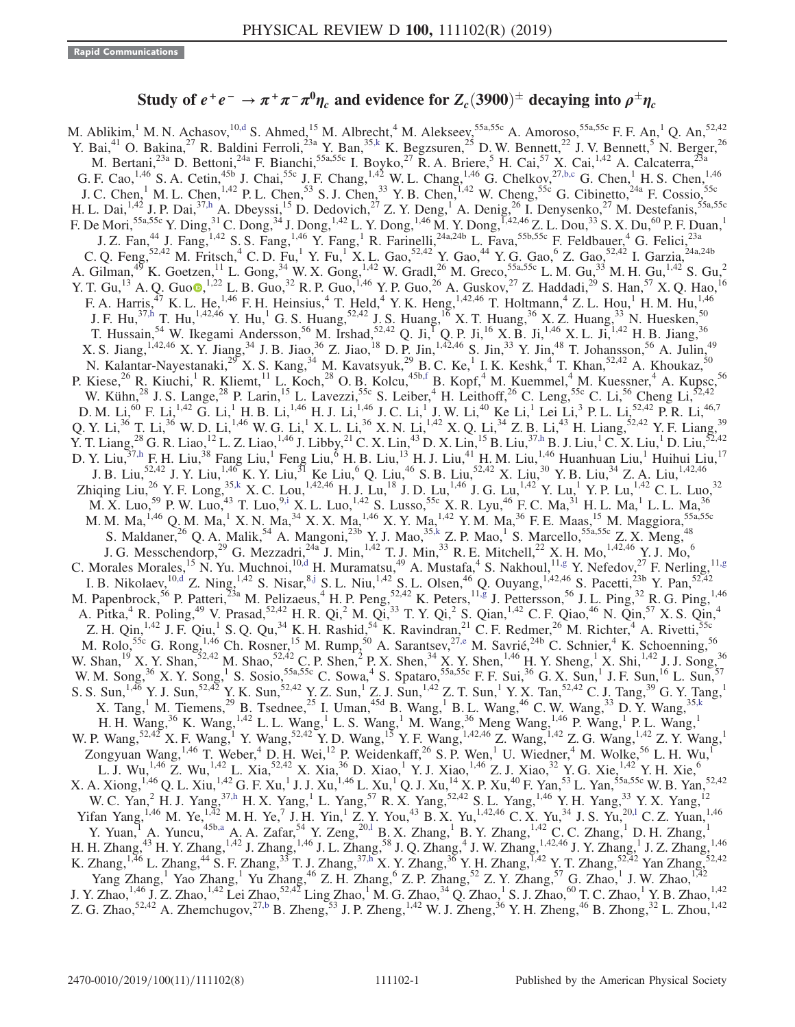## Study of  $e^+e^-\to\pi^+\pi^-\pi^0\eta_c$  and evidence for  $Z_c(3900)^\pm$  decaying into  $\rho^\pm\eta_c$

<span id="page-0-8"></span><span id="page-0-7"></span><span id="page-0-6"></span><span id="page-0-5"></span><span id="page-0-4"></span><span id="page-0-3"></span><span id="page-0-2"></span><span id="page-0-1"></span><span id="page-0-0"></span>M. Ablikim,<sup>1</sup> M. N. Achasov,<sup>1[0,d](#page-2-0)</sup> S. Ahmed,<sup>15</sup> M. Albrecht,<sup>4</sup> M. Alekseev,<sup>55a,55c</sup> A. Amoroso,<sup>55a,55c</sup> F. F. An,<sup>1</sup> Q. An,<sup>52,42</sup> Y. Bai,<sup>41</sup> O. Bakina,<sup>27</sup> R. Baldini Ferroli,<sup>23a</sup> Y. Ban,<sup>35[,k](#page-2-1)</sup> K. Begzsuren,<sup>25</sup> D. W. Bennett,<sup>22</sup> J. V. Bennett,<sup>5</sup> N. Berger,<sup>26</sup> M. Bertani,<sup>23a</sup> D. Bettoni,<sup>24a</sup> F. Bianchi,<sup>55a,55c</sup> I. Boyko,<sup>27</sup> R. A. Briere,<sup>5</sup> H. Cai,<sup>57</sup> X. Cai,<sup>1,42</sup> A. Calcaterra,<sup>23a</sup> G. F. Cao,  $^{1,46}$  S. A. Cetin,  $^{45b}$  J. Chai,  $^{55c}$  J. F. Chang,  $^{1,42}$  W. L. Chang,  $^{1,46}$  G. Chelkov,  $^{27,b,c}$  $^{27,b,c}$  $^{27,b,c}$  G. Chen, H. S. Chen,  $^{1,46}$ J. C. Chen,<sup>1</sup> M. L. Chen,<sup>1,42</sup> P. L. Chen,<sup>53</sup> S. J. Chen,<sup>33</sup> Y. B. Chen,<sup>1,42</sup> W. Cheng,<sup>55c</sup> G. Cibinetto,<sup>24a</sup> F. Cossio,<sup>55c</sup> H. L. Dai,  $^{1,42}$  J. P. Dai,  $^{37,h}$  $^{37,h}$  $^{37,h}$  A. Dbeyssi,  $^{15}$  D. Dedovich,  $^{27}$  Z. Y. Deng,  $^1$  A. Denig,  $^{26}$  I. Denysenko,  $^{27}$  M. Destefanis,  $^{55a,55c}$ F. De Mori, <sup>55a,55c</sup> Y. Ding, <sup>31</sup> C. Dong, <sup>34</sup> J. Dong, <sup>1,42</sup> L. Y. Dong, <sup>1,46</sup> M. Y. Dong, <sup>I,42,46</sup> Z. L. Dou, <sup>33</sup> S. X. Du, <sup>60</sup> P. F. Duan, <sup>1</sup> J. Z. Fan,<sup>44</sup> J. Fang,<sup>1,42</sup> S. S. Fang,<sup>1,46</sup> Y. Fang,<sup>1</sup> R. Farinelli,<sup>24a,24b</sup> L. Fava,<sup>55b,55c</sup> F. Feldbauer,<sup>4</sup> G. Felici,<sup>23a</sup> C. Q. Feng,  $52,42$  M. Fritsch,  $4$  C. D. Fu,<sup>1</sup> Y. Fu,<sup>1</sup> X. L. Gao,  $52,42$  Y. Gao,  $44$  Y. G. Gao,  $6$  Z. Gao,  $52,42$  I. Garzia,  $24a,24b$ A. Gilman,<sup>49</sup> K. Goetzen,<sup>11</sup> L. Gong,<sup>34</sup> W. X. Gong,<sup>1,42</sup> W. Gradl,<sup>26</sup> M. Greco,55a,55c L. M. Gu,<sup>33</sup> M. H. Gu,<sup>1,42</sup> S. Gu,<sup>2</sup> Y. T. Gu,<sup>13</sup> A. Q. Guo [,](https://orcid.org/0000-0002-2430-7512)<sup>1,22</sup> L. B. Guo,<sup>32</sup> R. P. Guo,<sup>1,46</sup> Y. P. Guo,<sup>26</sup> A. Guskov,<sup>27</sup> Z. Haddadi,<sup>29</sup> S. Han,<sup>57</sup> X. Q. Hao,<sup>16</sup> F. A. Harris,<sup>47</sup> K. L. He,<sup>1,46</sup> F. H. Heinsius,<sup>4</sup> T. Held,<sup>4</sup> Y. K. Heng,<sup>1,42,46</sup> T. Holtmann,<sup>4</sup> Z. L. Hou,<sup>1</sup> H. M. Hu,<sup>1,46</sup> J. F. Hu,<sup>37[,h](#page-2-3)</sup> T. Hu,<sup>1,42,46</sup> Y. Hu,<sup>1</sup> G. S. Huang,<sup>52,42</sup> J. S. Huang,<sup>16</sup> X. T. Huang,<sup>36</sup> X. Z. Huang,<sup>33</sup> N. Huesken,<sup>50</sup> T. Hussain,  $54$  W. Ikegami Andersson,  $56$  M. Irshad,  $52,42$  Q. Ji,  $^{1}$  Q. P. Ji,  $^{16}$  X. B. Ji,  $^{1,46}$  X. L. Ji,  $^{1,42}$  H. B. Jiang,  $^{36}$ X. S. Jiang,  $^{1,42,46}$  X. Y. Jiang,  $^{34}$  J. B. Jiao,  $^{36}$  Z. Jiao,  $^{18}$  D. P. Jin,  $^{1,42,46}$  S. Jin,  $^{33}$  Y. Jin,  $^{48}$  T. Johansson,  $^{56}$  A. Julin,  $^{49}$ N. Kalantar-Nayestanaki,<sup>29</sup> X. S. Kang,<sup>34</sup> M. Kavatsyuk,<sup>29</sup> B. C. Ke,<sup>1</sup> I. K. Keshk,<sup>4</sup> T. Khan,<sup>52,42</sup> A. Khoukaz,<sup>50</sup> P. Kiese,<sup>26</sup> R. Kiuchi,<sup>1</sup> R. Kliemt,<sup>11</sup> L. Koch,<sup>28</sup> O. B. Kolcu,<sup>45b[,f](#page-2-4)</sup> B. Kopf,<sup>4</sup> M. Kuemmel,<sup>4</sup> M. Kuessner,<sup>4</sup> A. Kupsc,<sup>56</sup> W. Kühn,<sup>28</sup> J. S. Lange,<sup>28</sup> P. Larin,<sup>15</sup> L. Lavezzi,<sup>55c</sup> S. Leiber,<sup>4</sup> H. Leithoff,<sup>26</sup> C. Leng,<sup>55c</sup> C. Li,<sup>56</sup> Cheng Li,<sup>52,42</sup> D. M. Li,<sup>60</sup> F. Li,<sup>1,42</sup> G. Li,<sup>1</sup> H. B. Li,<sup>1,46</sup> H. J. Li,<sup>1,46</sup> J. C. Li,<sup>1</sup> J. W. Li,<sup>40</sup> Ke Li,<sup>1</sup> Lei Li,<sup>3</sup> P. L. Li,<sup>52,42</sup> P. R. Li,<sup>46,7</sup> Q. Y. Li,<sup>36</sup> T. Li,<sup>36</sup> W. D. Li,<sup>1,46</sup> W. G. Li,<sup>1</sup> X. L. Li,<sup>36</sup> X. N. Li,<sup>1,42</sup> X. Q. Li,<sup>34</sup> Z. B. Li,<sup>43</sup> H. Liang,<sup>52,42</sup> Y. F. Liang,<sup>39</sup> Y. T. Liang,<sup>28</sup> G. R. Liao,<sup>12</sup> L. Z. Liao,<sup>1,46</sup> J. Libby,<sup>21</sup> C. X. Lin,<sup>43</sup> D. X. Lin,<sup>15</sup> B. Liu,<sup>3[7,h](#page-2-3)</sup> B. J. Liu,<sup>1</sup> C. X. Liu,<sup>1</sup> D. Liu,<sup>52,42</sup> D. Y. Liu,  $37, h \text{ F. H. Liu}, 38$  Fang Liu,  $1$  Feng Liu,  $6$  H. B. Liu,  $13$  H. J. Liu,  $41$  H. M. Liu,  $1,46$  Huanhuan Liu,  $1$  Huihui Liu,  $17$ J. B. Liu,<sup>52,42</sup> J. Y. Liu,<sup>1,46</sup> K. Y. Liu,<sup>31</sup> Ke Liu,<sup>6</sup> Q. Liu,<sup>46</sup> S. B. Liu,<sup>52,42</sup> X. Liu,<sup>30</sup> Y. B. Liu,<sup>34</sup> Z. A. Liu,<sup>1,42,46</sup> Zhiqing Liu,<sup>26</sup> Y. F. Long,<sup>3[5,k](#page-2-1)</sup> X. C. Lou,<sup>1,42,46</sup> H. J. Lu,<sup>18</sup> J. D. Lu,<sup>1,46</sup> J. G. Lu,<sup>1,42</sup> Y. Lu,<sup>1</sup> Y. P. Lu,<sup>1,42</sup> C. L. Luo,<sup>32</sup> M. X. Luo,<sup>59</sup> P. W. Luo,<sup>43</sup> T. Luo,<sup>9[,i](#page-2-5)</sup> X. L. Luo,<sup>1,42</sup> S. Lusso,<sup>55c</sup> X. R. Lyu,<sup>46</sup> F. C. Ma,<sup>31</sup> H. L. Ma,<sup>1</sup> L. L. Ma,<sup>36</sup> M. M. Ma,  $^{1,46}$  Q. M. Ma,  $^{1}$  X. N. Ma,  $^{34}$  X. X. Ma,  $^{1,46}$  X. Y. Ma,  $^{1,42}$  Y. M. Ma,  $^{36}$  F. E. Maas,  $^{15}$  M. Maggiora,  $^{55a,55c}$ S. Maldaner,  $^{26}$  Q. A. Malik,  $^{54}$  A. Mangoni,  $^{23b}$  Y. J. Mao,  $^{35,k}$  $^{35,k}$  $^{35,k}$  Z. P. Mao,  $^1$  S. Marcello,  $^{55a,55c}$  Z. X. Meng,  $^{48}$ J. G. Messchendorp,<sup>29</sup> G. Mezzadri,<sup>24a</sup> J. Min,<sup>1,42</sup> T. J. Min,<sup>33</sup> R. E. Mitchell,<sup>22</sup> X. H. Mo,<sup>1,42,46</sup> Y. J. Mo,<sup>6</sup> C. Morales Morales, <sup>15</sup> N. Yu. Muchnoi, <sup>1[0,d](#page-2-0)</sup> H. Muramatsu, <sup>49</sup> A. Mustafa, <sup>4</sup> S. Nakhoul, <sup>11[,g](#page-2-6)</sup> Y. Nefedov, <sup>27</sup> F. Nerling, <sup>11,g</sup> I. B. Nikolaev,  $^{10, d}$  Z. Ning,  $^{1, 42}$  S. Nisar,  $^{8, j}$  S. L. Niu,  $^{1, 42}$  S. L. Olsen,  $^{46}$  Q. Ouyang,  $^{1, 42, 46}$  S. Pacetti,  $^{23b}$  Y. Pan,  $^{52, 42}$ M. Papenbrock,<sup>56</sup> P. Patteri,<sup>23a</sup> M. Pelizaeus,<sup>4</sup> H. P. Peng,<sup>52,42</sup> K. Peters,<sup>11[,g](#page-2-6)</sup> J. Pettersson,<sup>56</sup> J. L. Ping,<sup>32</sup> R. G. Ping,<sup>1,46</sup> A. Pitka,<sup>4</sup> R. Poling,<sup>49</sup> V. Prasad,<sup>52,42</sup> H. R. Qi,<sup>2</sup> M. Qi,<sup>33</sup> T. Y. Qi,<sup>2</sup> S. Qian,<sup>1,42</sup> C. F. Qiao,<sup>46</sup> N. Qin,<sup>57</sup> X. S. Qin,<sup>4</sup> Z. H. Qin,<sup>1,42</sup> J. F. Qiu,<sup>1</sup> S. Q. Qu,<sup>34</sup> K. H. Rashid,<sup>54</sup> K. Ravindran,<sup>21</sup> C. F. Redmer,<sup>26</sup> M. Richter,<sup>4</sup> A. Rivetti,<sup>55c</sup> M. Rolo,<sup>55c</sup> G. Rong,<sup>1,46</sup> Ch. Rosner,<sup>15</sup> M. Rump,<sup>50</sup> A. Sarantsev,<sup>2[7,e](#page-2-8)</sup> M. Savrié,<sup>24b</sup> C. Schnier,<sup>4</sup> K. Schoenning,<sup>56</sup> W. Shan,  $^{19}$  X. Y. Shan,  $^{52,42}$  M. Shao,  $^{52,42}$  C. P. Shen,  $^{2}$  P. X. Shen,  $^{34}$  X. Y. Shen,  $^{1,46}$  H. Y. Sheng,  $^{1}$  X. Shi,  $^{1,42}$  J. J. Song,  $^{36}$ W. M. Song,<sup>36</sup> X. Y. Song,<sup>1</sup> S. Sosio,<sup>55a,55c</sup> C. Sowa,<sup>4</sup> S. Spataro,<sup>55a,55c</sup> F. F. Sui,<sup>36</sup> G. X. Sun,<sup>1</sup> J. F. Sun,<sup>16</sup> L. Sun,<sup>57</sup> S. S. Sun,<sup>1,46</sup> Y. J. Sun,<sup>52,42</sup> Y. K. Sun,<sup>52,42</sup> Y. Z. Sun,<sup>1</sup> Z. J. Sun,<sup>1,42</sup> Z. T. Sun,<sup>1</sup> Y. X. Tan,<sup>52,42</sup> C. J. Tang,<sup>39</sup> G. Y. Tang,<sup>1</sup> X. Tang,  $^1$  M. Tiemens,  $^{29}$  B. Tsednee,  $^{25}$  I. Uman,  $^{45d}$  B. Wang,  $^1$  B. L. Wang,  $^{46}$  C. W. Wang,  $^{33}$  D. Y. Wang,  $^{35,k}$  $^{35,k}$  $^{35,k}$ H. H. Wang,<sup>36</sup> K. Wang,<sup>1,42</sup> L. L. Wang,<sup>1</sup> L. S. Wang,<sup>1</sup> M. Wang,<sup>36</sup> Meng Wang,<sup>1,46</sup> P. Wang,<sup>1</sup> P. L. Wang,<sup>1</sup> W. P. Wang,<sup>52,42</sup> X. F. Wang,<sup>1</sup> Y. Wang,<sup>52,42</sup> Y. D. Wang,<sup>15</sup> Y. F. Wang,<sup>1,42,46</sup> Z. Wang,<sup>1,42</sup> Z. G. Wang,<sup>1,42</sup> Z. Y. Wang,<sup>1</sup> Zongyuan Wang,<sup>1,46</sup> T. Weber,<sup>4</sup> D. H. Wei,<sup>12</sup> P. Weidenkaff,<sup>26</sup> S. P. Wen,<sup>1</sup> U. Wiedner,<sup>4</sup> M. Wolke,<sup>56</sup> L. H. Wu,<sup>1</sup> L. J. Wu,<sup>1,46</sup> Z. Wu,<sup>1,42</sup> L. Xia,<sup>52,42</sup> X. Xia,<sup>36</sup> D. Xiao,<sup>1</sup> Y. J. Xiao,<sup>1,46</sup> Z. J. Xiao,<sup>32</sup> Y. G. Xie,<sup>1,42</sup> Y. H. Xie,<sup>6</sup>  $X. A. Xiong, <sup>1,46</sup> Q. L. Xiu, <sup>1,42</sup> G. F. Xu, <sup>1</sup> J. J. Xu, <sup>1,46</sup> L. Xu, <sup>1</sup> Q. J. Xu, <sup>14</sup> X. P. Xu, <sup>40</sup> F. Yan, <sup>53</sup> L. Yan, <sup>55a,55c</sup> W. B. Yan, <sup>52,42</sup>$ W. C. Yan,<sup>2</sup> H. J. Yang,<sup>37[,h](#page-2-3)</sup> H. X. Yang,<sup>1</sup> L. Yang,<sup>57</sup> R. X. Yang,<sup>52,42</sup> S. L. Yang,<sup>1,46</sup> Y. H. Yang,<sup>33</sup> Y. X. Yang,<sup>12</sup> Yifan Yang,<sup>1,46</sup> M. Ye,<sup>1,42</sup> M. H. Ye,<sup>7</sup> J. H. Yin,<sup>1</sup> Z. Y. You,<sup>43</sup> B. X. Yu,<sup>1,42,46</sup> C. X. Yu,<sup>34</sup> J. S. Yu,<sup>20,1</sup> C. Z. Yuan,<sup>1,46</sup> Y. Yuan, A. Yuncu,<sup>45b[,a](#page-2-10)</sup> A. A. Zafar,<sup>54</sup> Y. Zeng,<sup>20[,l](#page-2-9)</sup> B. X. Zhang, <sup>1</sup> B. Y. Zhang, <sup>1,42</sup> C. C. Zhang, <sup>1</sup> D. H. Zhang, <sup>1</sup> H. H. Zhang,<sup>43</sup> H. Y. Zhang,<sup>1,42</sup> J. Zhang,<sup>1,46</sup> J. L. Zhang,<sup>58</sup> J. Q. Zhang,<sup>4</sup> J. W. Zhang,<sup>1,42,46</sup> J. Y. Zhang,<sup>1</sup> J. Z. Zhang,<sup>1,46</sup> K. Zhang,<sup>1,46</sup> L. Zhang,<sup>44</sup> S. F. Zhang,<sup>33</sup> T. J. Zhang,<sup>3[7,h](#page-2-3)</sup> X. Y. Zhang,<sup>36</sup> Y. H. Zhang,<sup>542</sup> Y. T. Zhang,<sup>52,42</sup> Yan Zhang,<sup>52,42</sup> Yang Zhang,<sup>1</sup> Yao Zhang,<sup>1</sup> Yu Zhang,<sup>46</sup> Z. H. Zhang,<sup>6</sup> Z. P. Zhang,<sup>52</sup> Z. Y. Zhang,<sup>57</sup> G. Zhao,<sup>1</sup> J. W. Zhao,<sup>1,42</sup> J. Y. Zhao,<sup>1,46</sup> J. Z. Zhao,<sup>1,42</sup> Lei Zhao,<sup>52,42</sup> Ling Zhao,<sup>1</sup> M. G. Zhao,<sup>34</sup> Q. Zhao,<sup>1</sup> S. J. Zhao,<sup>60</sup> T. C. Zhao,<sup>1</sup> Y. B. Zhao,<sup>1,42</sup> Z. G. Zhao,<sup>52,42</sup> A. Zhemchugov,<sup>27[,b](#page-2-2)</sup> B. Zheng,<sup>53</sup> J. P. Zheng,<sup>1,42</sup> W. J. Zheng,<sup>36</sup> Y. H. Zheng,<sup>46</sup> B. Zhong,<sup>32</sup> L. Zhou,<sup>1,42</sup>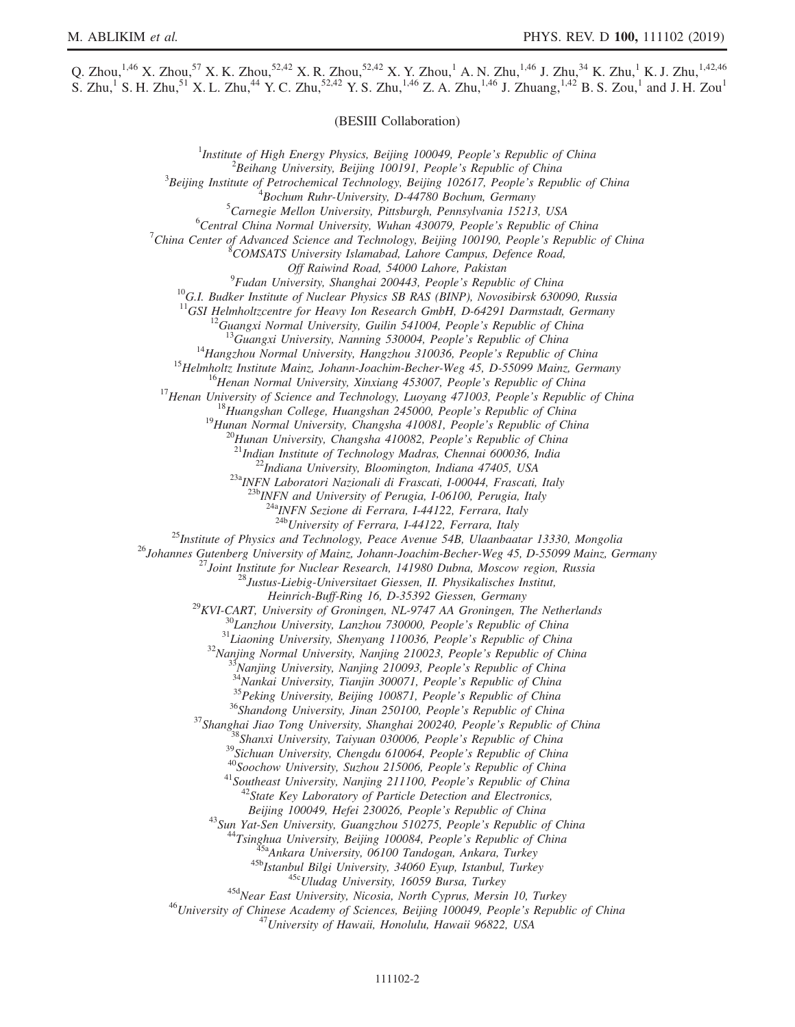Q. Zhou,<sup>1,46</sup> X. Zhou,<sup>57</sup> X. K. Zhou,<sup>52,42</sup> X. R. Zhou,<sup>52,42</sup> X. Y. Zhou,<sup>1</sup> A. N. Zhu,<sup>1,46</sup> J. Zhu,<sup>34</sup> K. Zhu,<sup>1</sup> K. J. Zhu,<sup>1,42,46</sup> S. Zhu,<sup>1</sup> S. H. Zhu,<sup>51</sup> X. L. Zhu,<sup>44</sup> Y. C. Zhu,<sup>52,42</sup> Y. S. Zhu,<sup>1,46</sup> Z. A. Zhu,<sup>1,46</sup> J. Zhuang,<sup>1,42</sup> B. S. Zou,<sup>1</sup> and J. H. Zou<sup>1</sup>

(BESIII Collaboration)

<sup>1</sup>Institute of High Energy Physics, Beijing 100049, People's Republic of China  $\frac{2 \text{Poibana}}{2}$  ${}^{2}$ Beihang University, Beijing 100191, People's Republic of China  $B^3$ Beijing Institute of Petrochemical Technology, Beijing 102617, People's Republic of China  ${}^{4}$ Bochum Ruhr-University, D-44780 Bochum, Germany  ${}^{5}$ Carnegie Mellon University, Pittsburgh, Pennsylvania 15213, USA  ${}^{6}$ Central China Normal University, Wuhan 430079, People's Republic of China  $C$ hina Center of Advanced Science and Technology, Beijing 100190, People's Republic of China COMSATS University Islamabad, Lahore Campus, Defence Road, Off Raiwind Road, 54000 Lahore, Pakistan<br><sup>9</sup>Fudan University, Shanghai 200443, People's Republic of China <sup>10</sup>G.I. Budker Institute of Nuclear Physics SB RAS (BINP), Novosibirsk 630090, Russia <sup>11</sup>GSI Helmholtzcentre for Heavy Ion Research GmbH, D-64291 Darmstadt, Germany <sup>11</sup>GSI Helmholtzcentre for Heavy Ion Research GmbH, D-64291 Darmstadt, Germany<br><sup>12</sup>Guangxi Normal University, Guilin 541004, People's Republic of China<br><sup>13</sup>Guangxi University, Nanning 530004, People's Republic of China<br><sup></sup>  $^{23a}$ INFN Laboratori Nazionali di Frascati, I-00044, Frascati, Italy<br> $^{23b}$ INFN and University of Perugia, I-06100, Perugia, Italy <sup>24a</sup>INFN Sezione di Ferrara, I-44122, Ferrara, Italy<br><sup>24b</sup>University of Ferrara, I-44122, Ferrara, Italy <sup>25</sup>Institute of Physics and Technology, Peace Avenue 54B, Ulaanbaatar 13330, Mongolia<br><sup>26</sup>Johannes Gutenberg University of Mainz, Johann-Joachim-Becher-Weg 45, D-55099 Mainz, Germany<br><sup>27</sup>Joint Institute for Nuclear Resea Heinrich-Buff-Ring 16, D-35392 Giessen, Germany<br>
<sup>29</sup>KVI-CART, University of Groningen, NL-9747 AA Groningen, The Netherlands<br>
<sup>30</sup>Lanzhou University, Lanzhou 730000, People's Republic of China<br>
<sup>31</sup>Liaoning University, Sh Beijing 100049, Hefei 230026, People's Republic of China<br>
<sup>43</sup>Sun Yat-Sen University, Guangzhou 510275, People's Republic of China<br>
<sup>44</sup>Tsinghua University, Beijing 100084, People's Republic of China<br>
<sup>45a</sup>Ankara Universit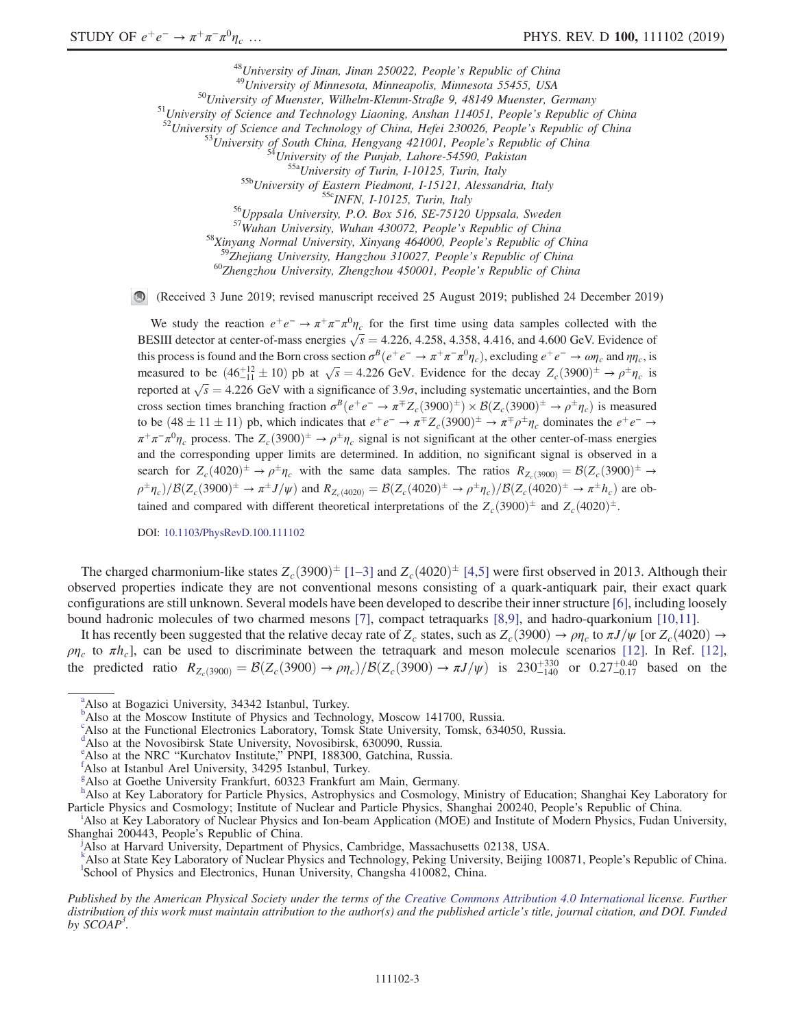<sup>48</sup>University of Jinan, Jinan 250022, People's Republic of China<br><sup>49</sup>University of Minnesota, Minneapolis, Minnesota 55455, USA<br><sup>51</sup>University of Muenster, Wilhelm-Klemm-Straße 9, 48149 Muenster, Germany<br><sup>51</sup>University o <sup>58</sup>Xinyang Normal University, Xinyang 464000, People's Republic of China<br><sup>59</sup>Zhejiang University, Hangzhou 310027, People's Republic of China  $^{60}$ Zhengzhou University, Zhengzhou 450001, People's Republic of China

(Received 3 June 2019; revised manuscript received 25 August 2019; published 24 December 2019)

We study the reaction  $e^+e^- \to \pi^+\pi^-\pi^0\eta_c$  for the first time using data samples collected with the BESIII detector at center-of-mass energies  $\sqrt{s} = 4.226, 4.258, 4.358, 4.416,$  and 4.600 GeV. Evidence of this process is found and the Born cross section  $\sigma^B(e^+e^- \to \pi^+\pi^-\pi^0\eta_c)$ , excluding  $e^+e^- \to \omega\eta_c$  and  $\eta\eta_c$ , is measured to be  $(46\frac{+12}{-11} \pm 10)$  pb at  $\sqrt{s} = 4.226$  GeV. Evidence for the decay  $Z_c(3900)^{\pm} \rightarrow \rho^{\pm} \eta_c$  is reported at  $\sqrt{s} = 4.226$  GeV with a significance of 3.9 $\sigma$ , including systematic uncertainties, and the Born cross section times branching fraction  $\sigma^B(e^+e^- \to \pi^{\mp} Z_c(3900)^{\pm}) \times \mathcal{B}(Z_c(3900)^{\pm} \to \rho^{\pm} \eta_c)$  is measured to be  $(48 \pm 11 \pm 11)$  pb, which indicates that  $e^+e^- \to \pi^{\mp}Z_c(3900)^{\pm} \to \pi^{\mp}\rho^{\pm}\eta_c$  dominates the  $e^+e^- \to$  $\pi^+\pi^-\pi^0\eta_c$  process. The  $Z_c(3900)^{\pm} \to \rho^{\pm}\eta_c$  signal is not significant at the other center-of-mass energies and the corresponding upper limits are determined. In addition, no significant signal is observed in a search for  $Z_c(4020)^{\pm} \to \rho^{\pm} \eta_c$  with the same data samples. The ratios  $R_{Z_c(3900)} = \mathcal{B}(Z_c(3900)^{\pm} \to \rho^{\pm} \eta_c$  $\rho^{\pm}\eta_c)/\mathcal{B}(Z_c(3900)^{\pm} \to \pi^{\pm}J/\psi)$  and  $R_{Z_c(4020)} = \mathcal{B}(Z_c(4020)^{\pm} \to \rho^{\pm}\eta_c)/\mathcal{B}(Z_c(4020)^{\pm} \to \pi^{\pm}h_c)$  are obtained and compared with different theoretical interpretations of the  $Z_c(3900)^{\pm}$  and  $Z_c(4020)^{\pm}$ .

DOI: [10.1103/PhysRevD.100.111102](https://doi.org/10.1103/PhysRevD.100.111102)

The charged charmonium-like states  $Z_c(3900)^{\pm}$  [\[1](#page-7-0)–3] and  $Z_c(4020)^{\pm}$  [\[4,5\]](#page-7-1) were first observed in 2013. Although their observed properties indicate they are not conventional mesons consisting of a quark-antiquark pair, their exact quark configurations are still unknown. Several models have been developed to describe their inner structure [\[6\],](#page-7-2) including loosely bound hadronic molecules of two charmed mesons [\[7\]](#page-7-3), compact tetraquarks [\[8,9\]](#page-7-4), and hadro-quarkonium [\[10,11\]](#page-7-5).

It has recently been suggested that the relative decay rate of  $Z_c$  states, such as  $Z_c(3900) \to \rho \eta_c$  to  $\pi J/\psi$  [or  $Z_c(4020) \to$ ρη<sub>c</sub> to πh<sub>c</sub>], can be used to discriminate between the tetraquark and meson molecule scenarios [\[12\].](#page-7-6) In Ref. [\[12\]](#page-7-6), the predicted ratio  $R_{Z_c(3900)} = \mathcal{B}(Z_c(3900) \to \rho \eta_c)/\mathcal{B}(Z_c(3900) \to \pi J/\psi)$  is  $230^{+330}_{-140}$  or  $0.27^{+0.40}_{-0.17}$  based on the

<span id="page-2-10"></span><sup>&</sup>lt;sup>[a](#page-0-0)</sup>Also at Bogazici University, 34342 Istanbul, Turkey.

<span id="page-2-2"></span><sup>&</sup>lt;sup>[b](#page-0-1)</sup>Also at the Moscow Institute of Physics and Technology, Moscow 141700, Russia.

c Also at the Functional Electronics Laboratory, Tomsk State University, Tomsk, 634050, Russia.

<span id="page-2-0"></span><sup>&</sup>lt;sup>[d](#page-0-2)</sup>Also at the Novosibirsk State University, Novosibirsk, 630090, Russia.

<span id="page-2-8"></span><sup>&</sup>lt;sup>[e](#page-0-3)</sup> Also at the NRC "Kurchatov Institute," PNPI, 188300, Gatchina, Russia.

<span id="page-2-4"></span><sup>&</sup>lt;sup>1</sup>Also at Istanbul Arel University, 34295 Istanbul, Turkey.

<span id="page-2-6"></span>[g](#page-0-5) Also at Goethe University Frankfurt, 60323 Frankfurt am Main, Germany.

<span id="page-2-3"></span>[h](#page-0-6)<br>Also at Key Laboratory for Particle Physics, Astrophysics and Cosmology, Ministry of Education; Shanghai Key Laboratory for Part[i](#page-0-7)cle Physics and Cosmology; Institute of Nuclear and Particle Physics, Shanghai 200240, People's Republic of China.

<span id="page-2-5"></span>Also at Key Laboratory of Nuclear Physics and Ion-beam Application (MOE) and Institute of Modern Physics, Fudan University, Shanghai 200443, People's Republic of China.

<span id="page-2-7"></span>Also at Harvard University, Department of Physics, Cambridge, Massachusetts 02138, USA.

<span id="page-2-9"></span><span id="page-2-1"></span><sup>&</sup>lt;sup>[k](#page-0-8)</sup> A[l](#page-0-0)so at State Key Laboratory of Nuclear Physics and Technology, Peking University, Beijing 100871, People's Republic of China. School of Physics and Electronics, Hunan University, Changsha 410082, China.

Published by the American Physical Society under the terms of the [Creative Commons Attribution 4.0 International](https://creativecommons.org/licenses/by/4.0/) license. Further distribution of this work must maintain attribution to the author(s) and the published article's title, journal citation, and DOI. Funded by  $SCOAP<sup>3</sup>$ .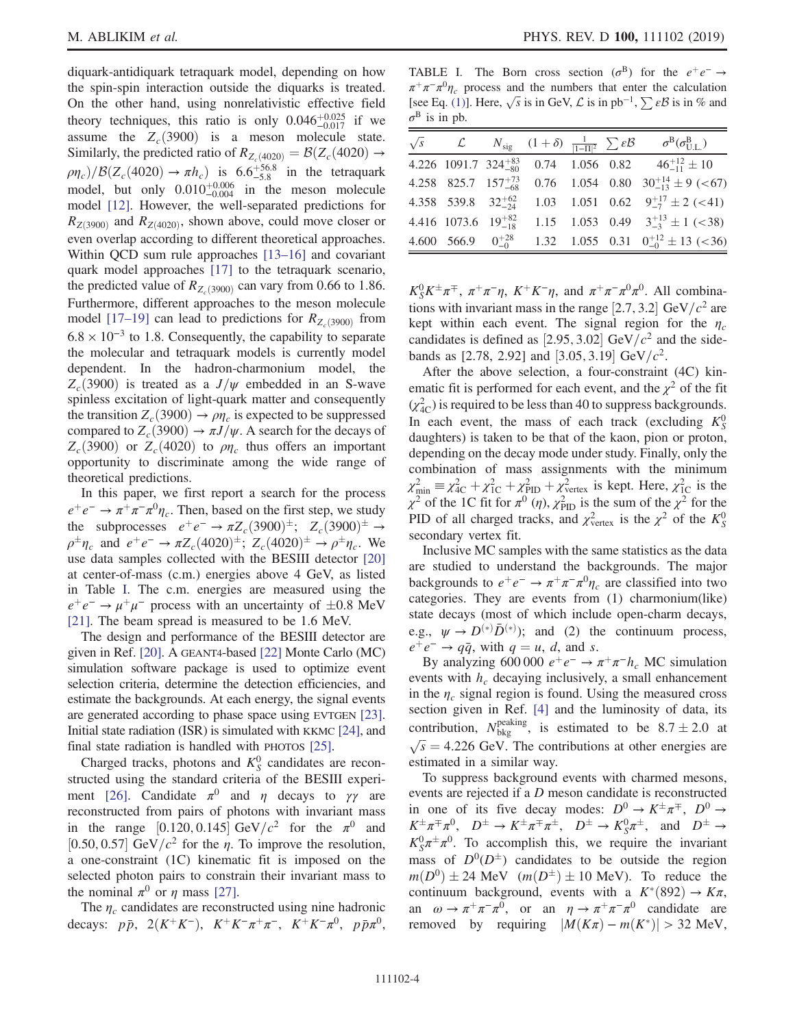diquark-antidiquark tetraquark model, depending on how the spin-spin interaction outside the diquarks is treated. On the other hand, using nonrelativistic effective field theory techniques, this ratio is only  $0.046_{-0.017}^{+0.025}$  if we assume the  $Z_c(3900)$  is a meson molecule state. Similarly, the predicted ratio of  $R_{Z_c(4020)} = \mathcal{B}(Z_c(4020) \rightarrow$  $\rho\eta_c$ )/ $\mathcal{B}(Z_c(4020) \rightarrow \pi h_c)$  is 6.6<sup>+56.8</sup> in the tetraquark model, but only  $0.010_{-0.004}^{+0.006}$  in the meson molecule model [\[12\]](#page-7-6). However, the well-separated predictions for  $R_{Z(3900)}$  and  $R_{Z(4020)}$ , shown above, could move closer or even overlap according to different theoretical approaches. Within QCD sum rule approaches [13–[16\]](#page-7-7) and covariant quark model approaches [\[17\]](#page-7-8) to the tetraquark scenario, the predicted value of  $R_{Z(3900)}$  can vary from 0.66 to 1.86. Furthermore, different approaches to the meson molecule model [\[17](#page-7-8)–19] can lead to predictions for  $R_{Z_c(3900)}$  from  $6.8 \times 10^{-3}$  to 1.8. Consequently, the capability to separate the molecular and tetraquark models is currently model dependent. In the hadron-charmonium model, the  $Z_c(3900)$  is treated as a  $J/\psi$  embedded in an S-wave spinless excitation of light-quark matter and consequently the transition  $Z_c(3900) \rightarrow \rho \eta_c$  is expected to be suppressed compared to  $Z_c(3900) \rightarrow \pi J/\psi$ . A search for the decays of  $Z_c(3900)$  or  $Z_c(4020)$  to  $\rho\eta_c$  thus offers an important opportunity to discriminate among the wide range of theoretical predictions.

In this paper, we first report a search for the process  $e^+e^- \rightarrow \pi^+\pi^-\pi^0\eta_c$ . Then, based on the first step, we study the subprocesses  $e^+e^- \to \pi Z_c(3900)^{\pm}$ ;  $Z_c(3900)^{\pm} \to$  $\rho^{\pm} \eta_c$  and  $e^+e^- \to \pi Z_c (4020)^{\pm}$ ;  $Z_c (4020)^{\pm} \to \rho^{\pm} \eta_c$ . We use data samples collected with the BESIII detector [\[20\]](#page-7-9) at center-of-mass (c.m.) energies above 4 GeV, as listed in Table [I.](#page-3-0) The c.m. energies are measured using the  $e^+e^- \rightarrow \mu^+\mu^-$  process with an uncertainty of  $\pm 0.8$  MeV [\[21\]](#page-7-10). The beam spread is measured to be 1.6 MeV.

The design and performance of the BESIII detector are given in Ref. [\[20\]](#page-7-9). A GEANT4-based [\[22\]](#page-7-11) Monte Carlo (MC) simulation software package is used to optimize event selection criteria, determine the detection efficiencies, and estimate the backgrounds. At each energy, the signal events are generated according to phase space using EVTGEN [\[23\]](#page-7-12). Initial state radiation (ISR) is simulated with KKMC [\[24\]](#page-7-13), and final state radiation is handled with PHOTOS [\[25\]](#page-7-14).

Charged tracks, photons and  $K_S^0$  candidates are reconstructed using the standard criteria of the BESIII experi-ment [\[26\]](#page-7-15). Candidate  $\pi^0$  and  $\eta$  decays to  $\gamma\gamma$  are reconstructed from pairs of photons with invariant mass in the range [0.120, 0.145] GeV/ $c^2$  for the  $\pi^0$  and [0.50, 0.57] GeV/ $c^2$  for the  $\eta$ . To improve the resolution, a one-constraint (1C) kinematic fit is imposed on the selected photon pairs to constrain their invariant mass to the nominal  $\pi^0$  or  $\eta$  mass [\[27\]](#page-7-16).

The  $\eta_c$  candidates are reconstructed using nine hadronic decays:  $p\bar{p}$ , 2(K<sup>+</sup>K<sup>-</sup>), K<sup>+</sup>K<sup>-</sup> $\pi$ <sup>+</sup> $\pi$ <sup>-</sup>, K<sup>+</sup>K<sup>-</sup> $\pi$ <sup>0</sup>,  $p\bar{p}\pi$ <sup>0</sup>,

<span id="page-3-0"></span>TABLE I. The Born cross section ( $\sigma^{B}$ ) for the  $e^{+}e^{-} \rightarrow$  $\pi^+\pi^-\pi^0\eta_c$  process and the numbers that enter the calculation [see Eq. [\(1\)\]](#page-4-0). Here,  $\sqrt{s}$  is in GeV,  $\mathcal L$  is in pb<sup>-1</sup>,  $\sum \varepsilon \mathcal{B}$  is in % and  $\sigma^B$  is in pb.

|                              |                               |  | $\sqrt{s}$ $\mathcal{L}$ $N_{\text{sig}}$ $(1+\delta) \frac{1}{ 1-\Pi ^2} \sum \varepsilon \mathcal{B}$ $\sigma^{\text{B}}(\sigma_{\text{U},\text{L}}^{\text{B}})$ |
|------------------------------|-------------------------------|--|--------------------------------------------------------------------------------------------------------------------------------------------------------------------|
|                              |                               |  | 4.226 1091.7 324 <sup>+83</sup> 0.74 1.056 0.82 $46^{+12}_{-11} \pm 10$                                                                                            |
|                              | 4.258 825.7 $157^{+73}_{-68}$ |  | 0.76 1.054 0.80 $30^{+14}_{-13} \pm 9$ (<67)                                                                                                                       |
| 4.358 539.8 $32^{+62}_{-24}$ |                               |  | 1.03 1.051 0.62 $9^{+17}_{-7} \pm 2$ (<41)                                                                                                                         |
|                              |                               |  | 4.416 1073.6 $19^{+82}_{-18}$ 1.15 1.053 0.49 $3^{+13}_{-3} \pm 1$ (<38)                                                                                           |
| 4.600 566.9 $0^{+28}_{-0}$   |                               |  | 1.32 1.055 0.31 $0^{+12}_{-0} \pm 13$ (<36)                                                                                                                        |

 $K_S^0 K^{\pm} \pi^{\mp}$ ,  $\pi^+\pi^-\eta$ ,  $K^+K^-\eta$ , and  $\pi^+\pi^-\pi^0\pi^0$ . All combinations with invariant mass in the range [2.7, 3.2] GeV/ $c^2$  are kept within each event. The signal region for the  $\eta_c$ candidates is defined as [2.95, 3.02] GeV/ $c<sup>2</sup>$  and the sidebands as [2.78, 2.92] and [3.05, 3.19] GeV/ $c^2$ .

After the above selection, a four-constraint (4C) kinematic fit is performed for each event, and the  $\chi^2$  of the fit  $(\chi^2_{AC})$  is required to be less than 40 to suppress backgrounds. In each event, the mass of each track (excluding  $K_S^0$ daughters) is taken to be that of the kaon, pion or proton, depending on the decay mode under study. Finally, only the combination of mass assignments with the minimum  $\chi^2_{\text{min}} \equiv \chi^2_{\text{4C}} + \chi^2_{\text{1C}} + \chi^2_{\text{PID}} + \chi^2_{\text{vertex}}$  is kept. Here,  $\chi^2_{\text{1C}}$  is the  $\chi^2$  of the 1C fit for  $\pi^0$  ( $\eta$ ),  $\chi^2_{\text{PID}}$  is the sum of the  $\chi^2$  for the PID of all charged tracks, and  $\chi^2_{\text{vertex}}$  is the  $\chi^2$  of the  $K^0_S$ secondary vertex fit.

Inclusive MC samples with the same statistics as the data are studied to understand the backgrounds. The major backgrounds to  $e^+e^- \rightarrow \pi^+\pi^-\pi^0\eta_c$  are classified into two categories. They are events from (1) charmonium(like) state decays (most of which include open-charm decays, e.g.,  $\psi \to D^{(*)}\bar{D}^{(*)}$ ; and (2) the continuum process,  $e^+e^- \rightarrow q\bar{q}$ , with  $q = u, d$ , and s.

By analyzing 600 000  $e^+e^- \rightarrow \pi^+\pi^-h_c$  MC simulation events with  $h_c$  decaying inclusively, a small enhancement in the  $\eta_c$  signal region is found. Using the measured cross section given in Ref. [\[4\]](#page-7-1) and the luminosity of data, its contribution,  $N_{\text{bkg}}^{\text{peaking}}$ , is estimated to be  $8.7 \pm 2.0$  at  $\sqrt{s}$  = 4.226 GeV. The contributions at other energies are estimated in a similar way.

To suppress background events with charmed mesons, events are rejected if a D meson candidate is reconstructed in one of its five decay modes:  $D^0 \rightarrow K^{\pm} \pi^{\mp}$ ,  $D^0 \rightarrow$  $K^{\pm}\pi^{\mp}\pi^0$ ,  $D^{\pm} \to K^{\pm}\pi^{\mp}\pi^{\pm}$ ,  $D^{\pm} \to K^0_S\pi^{\pm}$ , and  $D^{\pm} \to$  $K_S^0 \pi^{\pm} \pi^0$ . To accomplish this, we require the invariant mass of  $D^0(D^{\pm})$  candidates to be outside the region  $m(D^0) \pm 24$  MeV  $(m(D^{\pm}) \pm 10$  MeV). To reduce the continuum background, events with a  $K^*(892) \rightarrow K\pi$ , an  $\omega \to \pi^+\pi^-\pi^0$ , or an  $\eta \to \pi^+\pi^-\pi^0$  candidate are removed by requiring  $|M(K\pi) - m(K^*)| > 32$  MeV,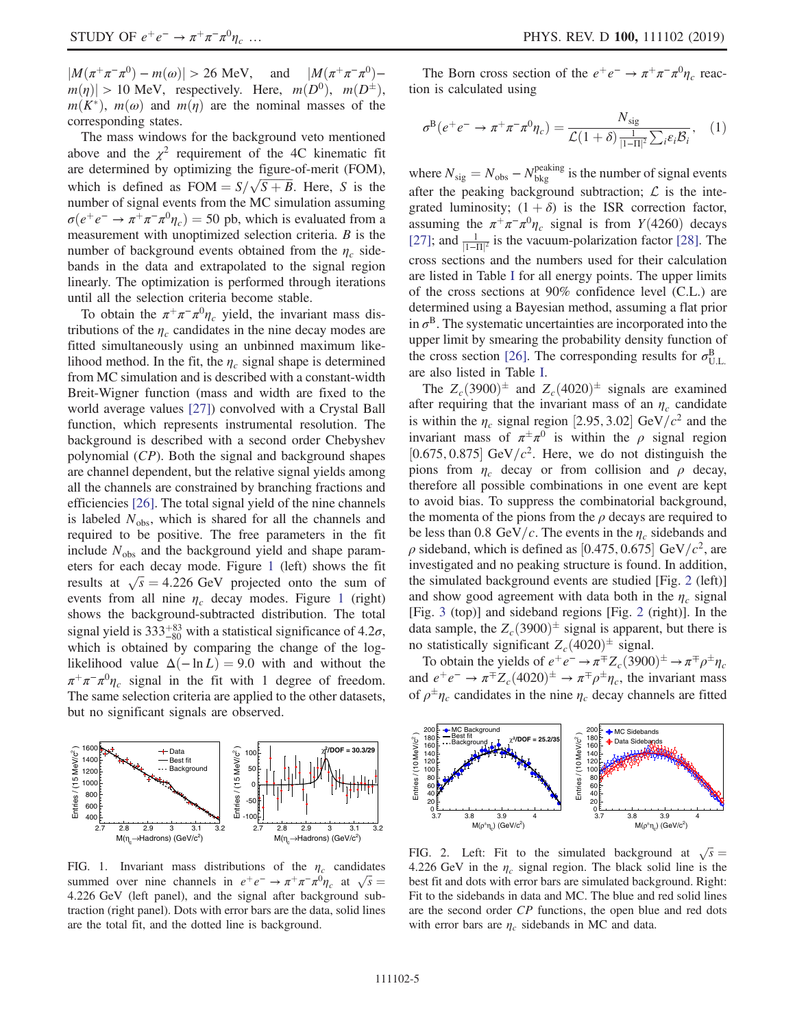$|M(\pi^+\pi^-\pi^0)-m(\omega)| > 26$  MeV, and  $|M(\pi^+\pi^-\pi^0)$  $m(\eta)$  > 10 MeV, respectively. Here,  $m(D^0)$ ,  $m(D^{\pm})$ ,  $m(K^*)$ ,  $m(\omega)$  and  $m(\eta)$  are the nominal masses of the corresponding states.

The mass windows for the background veto mentioned above and the  $\chi^2$  requirement of the 4C kinematic fit are determined by optimizing the figure-of-merit (FOM), which is defined as  $FOM = S/\sqrt{S+B}$ . Here, S is the number of signal events from the MC simulation assuming  $\sigma(e^+e^- \to \pi^+\pi^-\pi^0\eta_c) = 50$  pb, which is evaluated from a measurement with unoptimized selection criteria.  $B$  is the number of background events obtained from the  $\eta_c$  sidebands in the data and extrapolated to the signal region linearly. The optimization is performed through iterations until all the selection criteria become stable.

To obtain the  $\pi^+\pi^-\pi^0\eta_c$  yield, the invariant mass distributions of the  $\eta_c$  candidates in the nine decay modes are fitted simultaneously using an unbinned maximum likelihood method. In the fit, the  $\eta_c$  signal shape is determined from MC simulation and is described with a constant-width Breit-Wigner function (mass and width are fixed to the world average values [\[27\]](#page-7-16)) convolved with a Crystal Ball function, which represents instrumental resolution. The background is described with a second order Chebyshev polynomial (CP). Both the signal and background shapes are channel dependent, but the relative signal yields among all the channels are constrained by branching fractions and efficiencies [\[26\].](#page-7-15) The total signal yield of the nine channels is labeled  $N_{\text{obs}}$ , which is shared for all the channels and required to be positive. The free parameters in the fit include  $N_{\text{obs}}$  and the background yield and shape parameters for each decay mode. Figure [1](#page-4-1) (left) shows the fit results at  $\sqrt{s} = 4.226$  GeV projected onto the sum of events from all nine  $\eta_c$  decay modes. Figure [1](#page-4-1) (right) shows the background-subtracted distribution. The total signal yield is  $333^{+83}_{-80}$  with a statistical significance of 4.2 $\sigma$ , which is obtained by comparing the change of the loglikelihood value  $\Delta(-\ln L) = 9.0$  with and without the  $\pi^+\pi^-\pi^0\eta_c$  signal in the fit with 1 degree of freedom. The same selection criteria are applied to the other datasets, but no significant signals are observed.

<span id="page-4-1"></span>

FIG. 1. Invariant mass distributions of the  $\eta_c$  candidates summed over nine channels in  $e^+e^- \rightarrow \pi^+\pi^-\pi^0\eta_c$  at  $\sqrt{s} =$ 4.226 GeV (left panel), and the signal after background subtraction (right panel). Dots with error bars are the data, solid lines are the total fit, and the dotted line is background.

<span id="page-4-0"></span>The Born cross section of the  $e^+e^- \rightarrow \pi^+\pi^-\pi^0\eta_c$  reaction is calculated using

$$
\sigma^{\mathcal{B}}(e^+e^- \to \pi^+\pi^-\pi^0\eta_c) = \frac{N_{\text{sig}}}{\mathcal{L}(1+\delta)\frac{1}{|1-\Pi|^2}\sum_i \varepsilon_i \mathcal{B}_i},\quad(1)
$$

where  $N_{\text{sig}} = N_{\text{obs}} - N_{\text{bkg}}^{\text{peaking}}$  is the number of signal events after the peaking background subtraction;  $\mathcal{L}$  is the integrated luminosity;  $(1 + \delta)$  is the ISR correction factor, assuming the  $\pi^+\pi^-\pi^0\eta_c$  signal is from Y(4260) decays [\[27\]](#page-7-16); and  $\frac{1}{|1-\Pi|^2}$  is the vacuum-polarization factor [\[28\]](#page-7-17). The cross sections and the numbers used for their calculation are listed in Table [I](#page-3-0) for all energy points. The upper limits of the cross sections at 90% confidence level (C.L.) are determined using a Bayesian method, assuming a flat prior in  $\sigma^B$ . The systematic uncertainties are incorporated into the upper limit by smearing the probability density function of the cross section [\[26\].](#page-7-15) The corresponding results for  $\sigma_{\text{U.L.}}^{\text{B}}$ are also listed in Table [I](#page-3-0).

The  $Z_c(3900)^{\pm}$  and  $Z_c(4020)^{\pm}$  signals are examined after requiring that the invariant mass of an  $\eta_c$  candidate is within the  $\eta_c$  signal region [2.95, 3.02] GeV/ $c^2$  and the invariant mass of  $\pi^{\pm} \pi^{0}$  is within the  $\rho$  signal region [0.675, 0.875] GeV/ $c^2$ . Here, we do not distinguish the pions from  $\eta_c$  decay or from collision and  $\rho$  decay, therefore all possible combinations in one event are kept to avoid bias. To suppress the combinatorial background, the momenta of the pions from the  $\rho$  decays are required to be less than 0.8 GeV/c. The events in the  $\eta_c$  sidebands and  $\rho$  sideband, which is defined as [0.475, 0.675] GeV/ $c^2$ , are investigated and no peaking structure is found. In addition, the simulated background events are studied [Fig. [2](#page-4-2) (left)] and show good agreement with data both in the  $\eta_c$  signal [Fig. [3](#page-5-0) (top)] and sideband regions [Fig. [2](#page-4-2) (right)]. In the data sample, the  $Z_c(3900)^{\pm}$  signal is apparent, but there is no statistically significant  $Z_c(4020)^{\pm}$  signal.

To obtain the yields of  $e^+e^- \to \pi^{\mp} Z_c(3900)^{\pm} \to \pi^{\mp} \rho^{\pm} \eta_c$ and  $e^+e^- \to \pi^{\mp}Z_c(4020)^{\pm} \to \pi^{\mp}\rho^{\pm}\eta_c$ , the invariant mass of  $\rho^{\pm} \eta_c$  candidates in the nine  $\eta_c$  decay channels are fitted

<span id="page-4-2"></span>

FIG. 2. Left: Fit to the simulated background at  $\sqrt{s}$  = 4.226 GeV in the  $\eta_c$  signal region. The black solid line is the best fit and dots with error bars are simulated background. Right: Fit to the sidebands in data and MC. The blue and red solid lines are the second order CP functions, the open blue and red dots with error bars are  $\eta_c$  sidebands in MC and data.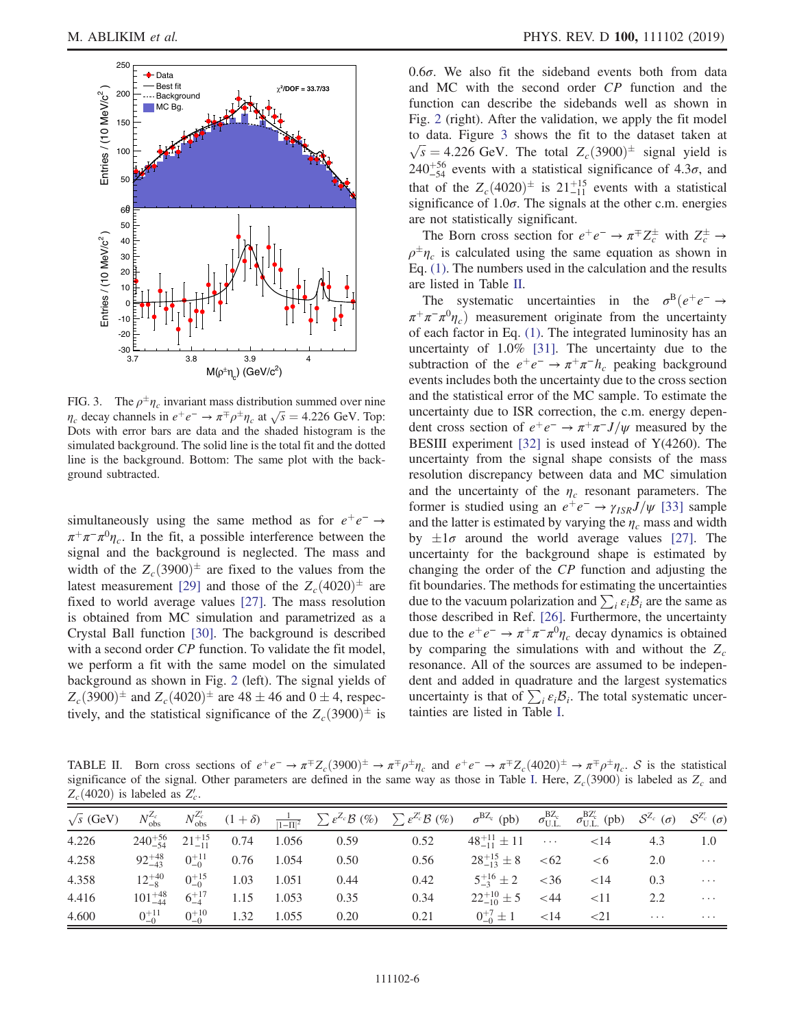<span id="page-5-0"></span>

FIG. 3. The  $\rho^{\pm} \eta_c$  invariant mass distribution summed over nine  $\eta_c$  decay channels in  $e^+e^- \to \pi^+\rho^+\eta_c$  at  $\sqrt{s} = 4.226$  GeV. Top: Dots with error bars are data and the shaded histogram is the simulated background. The solid line is the total fit and the dotted line is the background. Bottom: The same plot with the background subtracted.

simultaneously using the same method as for  $e^+e^- \rightarrow$  $\pi^+\pi^-\pi^0\eta_c$ . In the fit, a possible interference between the signal and the background is neglected. The mass and width of the  $Z_c(3900)^{\pm}$  are fixed to the values from the latest measurement [\[29\]](#page-7-18) and those of the  $Z_c(4020)^{\pm}$  are fixed to world average values [\[27\].](#page-7-16) The mass resolution is obtained from MC simulation and parametrized as a Crystal Ball function [\[30\]](#page-7-19). The background is described with a second order CP function. To validate the fit model, we perform a fit with the same model on the simulated background as shown in Fig. [2](#page-4-2) (left). The signal yields of  $Z_c(3900)^{\pm}$  and  $Z_c(4020)^{\pm}$  are  $48 \pm 46$  and  $0 \pm 4$ , respectively, and the statistical significance of the  $Z_c(3900)^{\pm}$  is  $0.6\sigma$ . We also fit the sideband events both from data and MC with the second order CP function and the function can describe the sidebands well as shown in Fig. [2](#page-4-2) (right). After the validation, we apply the fit model to data. Figure [3](#page-5-0) shows the fit to the dataset taken at  $\sqrt{s}$  = 4.226 GeV. The total  $Z_c(3900)^{\pm}$  signal yield is  $240^{+56}_{-54}$  events with a statistical significance of 4.3 $\sigma$ , and that of the  $Z_c(4020)^{\pm}$  is  $21^{+15}_{-11}$  events with a statistical significance of  $1.0\sigma$ . The signals at the other c.m. energies are not statistically significant.

The Born cross section for  $e^+e^- \to \pi^{\mp} Z_c^{\pm}$  with  $Z_c^{\pm} \to$  $\rho^{\pm} \eta_c$  is calculated using the same equation as shown in Eq. [\(1\).](#page-4-0) The numbers used in the calculation and the results are listed in Table [II](#page-5-1).

The systematic uncertainties in the  $\sigma^{B}(e^{+}e^{-} \rightarrow$  $\pi^+\pi^-\pi^0\eta_c$  measurement originate from the uncertainty of each factor in Eq. [\(1\)](#page-4-0). The integrated luminosity has an uncertainty of 1.0% [\[31\].](#page-7-20) The uncertainty due to the subtraction of the  $e^+e^- \rightarrow \pi^+\pi^-h_c$  peaking background events includes both the uncertainty due to the cross section and the statistical error of the MC sample. To estimate the uncertainty due to ISR correction, the c.m. energy dependent cross section of  $e^+e^- \rightarrow \pi^+\pi^-J/\psi$  measured by the BESIII experiment [\[32\]](#page-7-21) is used instead of Y(4260). The uncertainty from the signal shape consists of the mass resolution discrepancy between data and MC simulation and the uncertainty of the  $\eta_c$  resonant parameters. The former is studied using an  $e^+e^- \rightarrow \gamma_{ISR}J/\psi$  [\[33\]](#page-7-22) sample and the latter is estimated by varying the  $\eta_c$  mass and width by  $\pm 1\sigma$  around the world average values [\[27\]](#page-7-16). The uncertainty for the background shape is estimated by changing the order of the CP function and adjusting the fit boundaries. The methods for estimating the uncertainties due to the vacuum polarization and  $\sum_i \varepsilon_i \mathcal{B}_i$  are the same as those described in Ref. [\[26\]](#page-7-15). Furthermore, the uncertainty due to the  $e^+e^- \rightarrow \pi^+\pi^-\pi^0\eta_c$  decay dynamics is obtained by comparing the simulations with and without the  $Z_c$ resonance. All of the sources are assumed to be independent and added in quadrature and the largest systematics uncertainty is that of  $\sum_i \varepsilon_i \mathcal{B}_i$ . The total systematic uncertainties are listed in Table [I](#page-3-0).

<span id="page-5-1"></span>TABLE II. Born cross sections of  $e^+e^- \to \pi^{\mp}Z_c(3900)^{\pm} \to \pi^{\mp}\rho^{\pm}\eta_c$  and  $e^+e^- \to \pi^{\mp}Z_c(4020)^{\pm} \to \pi^{\mp}\rho^{\pm}\eta_c$ . S is the statistical significance of the signal. Other parameters are defined in the same way as those in Table [I.](#page-3-0) Here,  $Z_c(3900)$  is labeled as  $Z_c$  and  $Z_c(4020)$  is labeled as  $Z_c'$ .

| $\sqrt{s}$ (GeV) | $N_\mathrm{obs}^{Z_c}$ |                |                                               |       |      | $N_\text{obs}^{Z'_c} \hspace{0.5cm} (1+\delta) \hspace{0.5cm} \frac{1}{ 1-\Pi ^2} \hspace{0.5cm} \sum \varepsilon^{Z_c} \mathcal{B} \hspace{0.1cm} (\%) \hspace{0.5cm} \sum \varepsilon^{Z'_c} \mathcal{B} \hspace{0.1cm} (\%) \hspace{0.5cm} \sigma^{\text{BZ}_c} \hspace{0.1cm} (\text{pb}) \hspace{0.5cm} \sigma^{\text{BZ}_c} \hspace{0.1cm} \sigma^{\text{BZ}_c} \hspace{0.1cm} (\text{pb}) \hspace{0.5cm} \mathcal{$ |                         |        |           |          |          |
|------------------|------------------------|----------------|-----------------------------------------------|-------|------|----------------------------------------------------------------------------------------------------------------------------------------------------------------------------------------------------------------------------------------------------------------------------------------------------------------------------------------------------------------------------------------------------------------------------|-------------------------|--------|-----------|----------|----------|
| 4.226            |                        |                | $240^{+56}_{-54}$ $21^{+15}_{-11}$ 0.74 1.056 |       | 0.59 | 0.52                                                                                                                                                                                                                                                                                                                                                                                                                       | $48^{+11}_{-11} \pm 11$ |        | <14       | 4.3      | 1.0      |
| 4.258            | $92^{+48}_{-43}$       | $0^{+11}_{-0}$ | 0.76                                          | 1.054 | 0.50 | 0.56                                                                                                                                                                                                                                                                                                                                                                                                                       | $28^{+15}_{-13} \pm 8$  | <62    | < 6       | 2.0      | $\cdots$ |
| 4.358            | $12^{+40}_{-8}$        | $0^{+15}_{-0}$ | 1.03                                          | 1.051 | 0.44 | 0.42                                                                                                                                                                                                                                                                                                                                                                                                                       | $5^{+16}_{-3} \pm 2$    | <36    | <14       | 0.3      | $\cdots$ |
| 4.416            | $101^{+48}_{-44}$      | $6^{+17}_{-4}$ | 1.15                                          | 1.053 | 0.35 | 0.34                                                                                                                                                                                                                                                                                                                                                                                                                       | $22^{+10}_{-10} \pm 5$  | <44    | <11       | 2.2      | $\cdots$ |
| 4.600            | $0^{+11}_{-0}$         | $0^{+10}_{-0}$ | 1.32                                          | 1.055 | 0.20 | 0.21                                                                                                                                                                                                                                                                                                                                                                                                                       | $0^{+7}_{-0} \pm 1$     | $<$ 14 | $\leq$ 21 | $\cdots$ | $\cdots$ |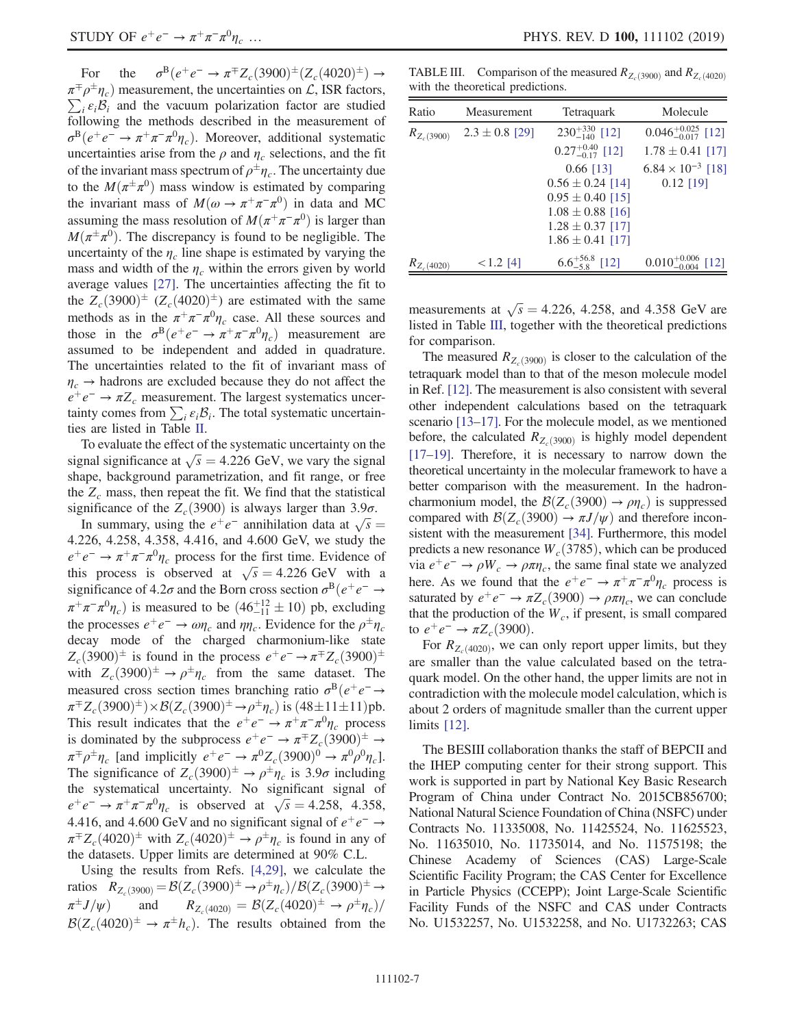For the  $\sigma^B(e^+e^- \to \pi^{\mp} Z_c(3900)^{\pm}(Z_c(4020)^{\pm}) \to$  $\pi^{\mp} \rho^{\pm} \eta_c$ ) measurement, the uncertainties on  $\mathcal{L}$ , ISR factors,  $\sum_i \varepsilon_i \mathcal{B}_i$  and the vacuum polarization factor are studied following the methods described in the measurement of  $\sigma^{B}(e^+e^- \to \pi^+\pi^-\pi^0\eta_c)$ . Moreover, additional systematic uncertainties arise from the  $\rho$  and  $\eta_c$  selections, and the fit of the invariant mass spectrum of  $\rho^{\pm} \eta_c$ . The uncertainty due to the  $M(\pi^{\pm}\pi^{0})$  mass window is estimated by comparing the invariant mass of  $M(\omega \to \pi^+\pi^-\pi^0)$  in data and MC assuming the mass resolution of  $M(\pi^+\pi^-\pi^0)$  is larger than  $M(\pi^{\pm}\pi^{0})$ . The discrepancy is found to be negligible. The uncertainty of the  $\eta_c$  line shape is estimated by varying the mass and width of the  $\eta_c$  within the errors given by world average values [\[27\]](#page-7-16). The uncertainties affecting the fit to the  $Z_c(3900)^{\pm}$   $(Z_c(4020)^{\pm})$  are estimated with the same methods as in the  $\pi^+\pi^-\pi^0\eta_c$  case. All these sources and those in the  $\sigma^{B}(e^+e^- \to \pi^+\pi^-\pi^0\eta_c)$  measurement are assumed to be independent and added in quadrature. The uncertainties related to the fit of invariant mass of  $\eta_c \rightarrow$  hadrons are excluded because they do not affect the  $e^+e^- \rightarrow \pi Z_c$  measurement. The largest systematics uncertainty comes from  $\sum_i \varepsilon_i \mathcal{B}_i$ . The total systematic uncertainties are listed in Table [II](#page-5-1).

To evaluate the effect of the systematic uncertainty on the signal significance at  $\sqrt{s} = 4.226$  GeV, we vary the signal shape, background parametrization, and fit range, or free the  $Z_c$  mass, then repeat the fit. We find that the statistical significance of the  $Z_c(3900)$  is always larger than 3.9 $\sigma$ .

In summary, using the  $e^+e^-$  annihilation data at  $\sqrt{s} =$ 4.226, 4.258, 4.358, 4.416, and 4.600 GeV, we study the  $e^+e^- \rightarrow \pi^+\pi^-\pi^0\eta_c$  process for the first time. Evidence of this process is observed at  $\sqrt{s} = 4.226$  GeV with a significance of 4.2 $\sigma$  and the Born cross section  $\sigma^{B}(e^+e^- \rightarrow$  $\pi^+ \pi^- \pi^0 \eta_c$ ) is measured to be  $(46^{+12}_{-11} \pm 10)$  pb, excluding the processes  $e^+e^- \to \omega \eta_c$  and  $\eta \eta_c$ . Evidence for the  $\rho^{\pm} \eta_c$ decay mode of the charged charmonium-like state  $Z_c$ (3900)<sup>±</sup> is found in the process  $e^+e^- \rightarrow \pi^{\mp} Z_c$ (3900)<sup>±</sup> with  $Z_c(3900)^{\pm} \rightarrow \rho^{\pm} \eta_c$  from the same dataset. The measured cross section times branching ratio  $\sigma^{B}(e^{+}e^{-} \rightarrow$  $\pi^{\mp} Z_c(3900)^{\pm}$ ) ×  $\mathcal{B}(Z_c(3900)^{\pm} \to \rho^{\pm} \eta_c)$  is  $(48 \pm 11 \pm 11)$  pb. This result indicates that the  $e^+e^- \rightarrow \pi^+\pi^-\pi^0\eta_c$  process is dominated by the subprocess  $e^+e^- \to \pi^{\mp} Z_c(3900)^{\pm} \to$  $\pi^{\mp}\rho^{\pm}\eta_c$  [and implicitly  $e^+e^- \rightarrow \pi^0 Z_c(3900)^0 \rightarrow \pi^0\rho^0\eta_c$ ]. The significance of  $Z_c(3900)^{\pm} \rightarrow \rho^{\pm} \eta_c$  is 3.9 $\sigma$  including the systematical uncertainty. No significant signal of  $e^+e^- \rightarrow \pi^+\pi^-\pi^0\eta_c$  is observed at  $\sqrt{s} = 4.258$ , 4.358, 4.416, and 4.600 GeV and no significant signal of  $e^+e^- \rightarrow$  $\pi^{\mp} Z_c (4020)^{\pm}$  with  $Z_c (4020)^{\pm} \rightarrow \rho^{\pm} \eta_c$  is found in any of the datasets. Upper limits are determined at 90% C.L.

Using the results from Refs. [\[4,29\]](#page-7-1), we calculate the ratios  $R_{Z_c(3900)} = \mathcal{B}(Z_c(3900)^{\pm} \rightarrow \rho^{\pm} \eta_c)/\mathcal{B}(Z_c(3900)^{\pm} \rightarrow$  $\pi^{\pm}J/\psi)$  $J/\psi$  and  $R_{Z_c(4020)} = \mathcal{B}(Z_c(4020)^{\pm} \rightarrow \rho^{\pm} \eta_c)/\rho$  $\mathcal{B}(Z_c(4020)^{\pm} \to \pi^{\pm} h_c)$ . The results obtained from the

<span id="page-6-0"></span>TABLE III. Comparison of the measured  $R_{Z_c(3900)}$  and  $R_{Z_c(4020)}$ with the theoretical predictions.

| Ratio           | Measurement        | Tetraquark                  | Molecule                         |
|-----------------|--------------------|-----------------------------|----------------------------------|
| $R_{Z_c(3900)}$ | $2.3 \pm 0.8$ [29] | $230^{+330}_{-140}$ [12]    | $0.046_{-0.017}^{+0.025}$ [12]   |
|                 |                    | $0.27^{+0.40}_{-0.17}$ [12] | $1.78 \pm 0.41$ [17]             |
|                 |                    | $0.66$ [13]                 | $6.84 \times 10^{-3}$ [18]       |
|                 |                    | $0.56 \pm 0.24$ [14]        | $0.12$ [19]                      |
|                 |                    | $0.95 \pm 0.40$ [15]        |                                  |
|                 |                    | $1.08 \pm 0.88$ [16]        |                                  |
|                 |                    | $1.28 \pm 0.37$ [17]        |                                  |
|                 |                    | $1.86 \pm 0.41$ [17]        |                                  |
| $R_{Z_c(4020)}$ | $< 1.2$ [4]        | $6.6^{+56.8}_{-5.8}$ [12]   | $0.010^{+0.006}_{-0.004}$<br>121 |

measurements at  $\sqrt{s} = 4.226, 4.258,$  and 4.358 GeV are listed in Table [III,](#page-6-0) together with the theoretical predictions for comparison.

The measured  $R_{Z_c(3900)}$  is closer to the calculation of the tetraquark model than to that of the meson molecule model in Ref. [\[12\].](#page-7-6) The measurement is also consistent with several other independent calculations based on the tetraquark scenario [13–[17\].](#page-7-7) For the molecule model, as we mentioned before, the calculated  $R_{Z_c(3900)}$  is highly model dependent [\[17](#page-7-8)–19]. Therefore, it is necessary to narrow down the theoretical uncertainty in the molecular framework to have a better comparison with the measurement. In the hadroncharmonium model, the  $\mathcal{B}(Z_c(3900) \rightarrow \rho \eta_c)$  is suppressed compared with  $\mathcal{B}(Z_c(3900) \to \pi J/\psi)$  and therefore inconsistent with the measurement [\[34\].](#page-7-23) Furthermore, this model predicts a new resonance  $W_c(3785)$ , which can be produced via  $e^+e^- \rightarrow \rho W_c \rightarrow \rho \pi \eta_c$ , the same final state we analyzed here. As we found that the  $e^+e^- \rightarrow \pi^+\pi^-\pi^0\eta_c$  process is saturated by  $e^+e^- \to \pi Z_c(3900) \to \rho \pi \eta_c$ , we can conclude that the production of the  $W_c$ , if present, is small compared to  $e^+e^- \to \pi Z_c(3900)$ .

For  $R_{Z_c(4020)}$ , we can only report upper limits, but they are smaller than the value calculated based on the tetraquark model. On the other hand, the upper limits are not in contradiction with the molecule model calculation, which is about 2 orders of magnitude smaller than the current upper limits [\[12\]](#page-7-6).

The BESIII collaboration thanks the staff of BEPCII and the IHEP computing center for their strong support. This work is supported in part by National Key Basic Research Program of China under Contract No. 2015CB856700; National Natural Science Foundation of China (NSFC) under Contracts No. 11335008, No. 11425524, No. 11625523, No. 11635010, No. 11735014, and No. 11575198; the Chinese Academy of Sciences (CAS) Large-Scale Scientific Facility Program; the CAS Center for Excellence in Particle Physics (CCEPP); Joint Large-Scale Scientific Facility Funds of the NSFC and CAS under Contracts No. U1532257, No. U1532258, and No. U1732263; CAS